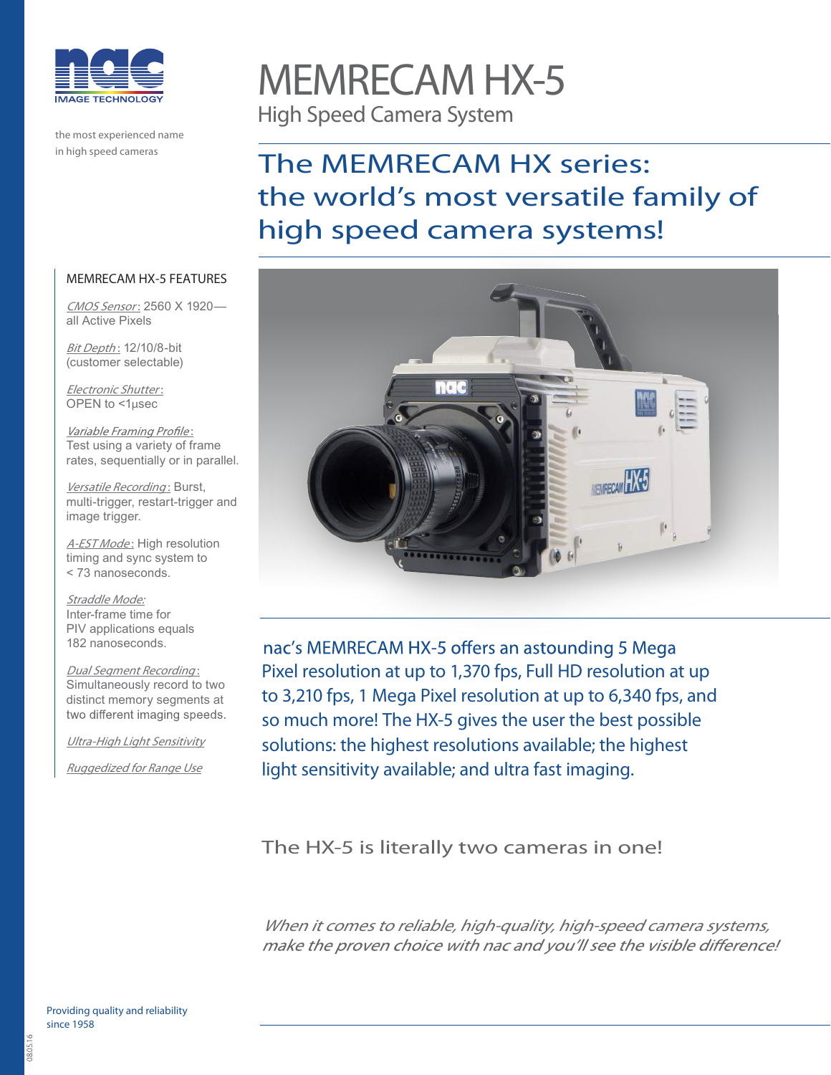

the most experienced name in high speed cameras

# MEMRECAM HX-5 High Speed Camera System

## the world's most versatile family of high speed camera systems! The MEMRECAM HX series:



nac's MEMRECAM HX-5 offers an astounding 5 Mega Pixel resolution at up to 1,370 fps, Full HD resolution at up to 3,210 fps, 1 Mega Pixel resolution at up to 6,340 fps, and so much more! The HX-5 gives the user the best possible solutions: the highest resolutions available; the highest light sensitivity available; and ultra fast imaging.

### The HX-5 is literally two cameras in one!

When it comes to reliable, high-quality, high-speed camera systems, make the proven choice with nac and you'll see the visible difference!

### MEMRECAM HX-5 FEATURES

CMOS Sensor: 2560 X 1920all Active Pixels

Bit Depth : 12/10/8-bit (customer selectable)

Electronic Shutter : OPEN to <1μsec

Variable Framing Profile: Test using a variety of frame rates, sequentially or in parallel.

Versatile Recording: Burst, multi-trigger, restart-trigger and image trigger.

A-EST Mode: High resolution timing and sync system to < 73 nanoseconds.

Straddle Mode: Inter-frame time for PIV applications equals 182 nanoseconds.

Dual Segment Recording: Simultaneously record to two distinct memory segments at two different imaging speeds.

Ultra-High Light Sensitivity

Ruggedized for Range Use